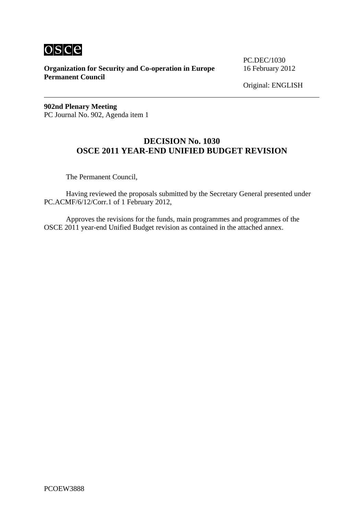

**Organization for Security and Co-operation in Europe** 16 February 2012 **Permanent Council** 

PC.DEC/1030

Original: ENGLISH

**902nd Plenary Meeting**  PC Journal No. 902, Agenda item 1

### **DECISION No. 1030 OSCE 2011 YEAR-END UNIFIED BUDGET REVISION**

The Permanent Council,

 Having reviewed the proposals submitted by the Secretary General presented under PC.ACMF/6/12/Corr.1 of 1 February 2012,

 Approves the revisions for the funds, main programmes and programmes of the OSCE 2011 year-end Unified Budget revision as contained in the attached annex.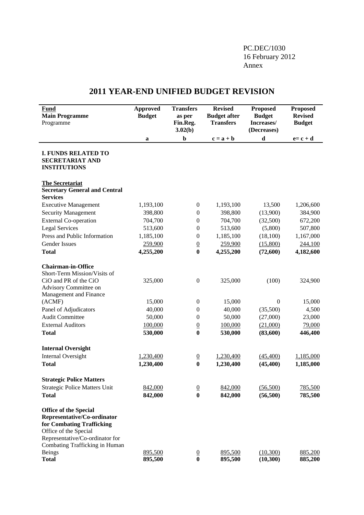### PC.DEC/1030 16 February 2012 Annex

## **2011 YEAR-END UNIFIED BUDGET REVISION**

| <b>Fund</b><br><b>Main Programme</b><br>Programme                                                                                                                                      | <b>Approved</b><br><b>Budget</b> | <b>Transfers</b><br>as per<br>Fin.Reg.<br>3.02(b) | <b>Revised</b><br><b>Budget after</b><br><b>Transfers</b> | <b>Proposed</b><br><b>Budget</b><br>Increases/<br>(Decreases) | <b>Proposed</b><br><b>Revised</b><br><b>Budget</b> |
|----------------------------------------------------------------------------------------------------------------------------------------------------------------------------------------|----------------------------------|---------------------------------------------------|-----------------------------------------------------------|---------------------------------------------------------------|----------------------------------------------------|
|                                                                                                                                                                                        | a                                | $\mathbf b$                                       | $c = a + b$                                               | $\mathbf d$                                                   | $e = c + d$                                        |
| <b>I. FUNDS RELATED TO</b><br><b>SECRETARIAT AND</b><br><b>INSTITUTIONS</b>                                                                                                            |                                  |                                                   |                                                           |                                                               |                                                    |
| <b>The Secretariat</b><br><b>Secretary General and Central</b><br><b>Services</b>                                                                                                      |                                  |                                                   |                                                           |                                                               |                                                    |
| <b>Executive Management</b>                                                                                                                                                            | 1,193,100                        | $\boldsymbol{0}$                                  | 1,193,100                                                 | 13,500                                                        | 1,206,600                                          |
| <b>Security Management</b>                                                                                                                                                             | 398,800                          | $\boldsymbol{0}$                                  | 398,800                                                   | (13,900)                                                      | 384,900                                            |
| <b>External Co-operation</b>                                                                                                                                                           | 704,700                          | $\boldsymbol{0}$                                  | 704,700                                                   | (32,500)                                                      | 672,200                                            |
| <b>Legal Services</b>                                                                                                                                                                  | 513,600                          | $\boldsymbol{0}$                                  | 513,600                                                   | (5,800)                                                       | 507,800                                            |
| Press and Public Information                                                                                                                                                           | 1,185,100                        | $\boldsymbol{0}$                                  | 1,185,100                                                 | (18,100)                                                      | 1,167,000                                          |
| Gender Issues                                                                                                                                                                          | 259,900                          | $\underline{0}$                                   | 259,900                                                   | (15,800)                                                      | 244,100                                            |
| <b>Total</b>                                                                                                                                                                           | 4,255,200                        | $\bf{0}$                                          | 4,255,200                                                 | (72,600)                                                      | 4,182,600                                          |
| <b>Chairman-in-Office</b><br>Short-Term Mission/Visits of                                                                                                                              |                                  |                                                   |                                                           |                                                               |                                                    |
| CiO and PR of the CiO<br>Advisory Committee on<br>Management and Finance                                                                                                               | 325,000                          | $\boldsymbol{0}$                                  | 325,000                                                   | (100)                                                         | 324,900                                            |
| (ACMF)                                                                                                                                                                                 | 15,000                           | $\boldsymbol{0}$                                  | 15,000                                                    | $\boldsymbol{0}$                                              | 15,000                                             |
| Panel of Adjudicators                                                                                                                                                                  | 40,000                           | $\boldsymbol{0}$                                  | 40,000                                                    | (35,500)                                                      | 4,500                                              |
| <b>Audit Committee</b>                                                                                                                                                                 | 50,000                           | $\boldsymbol{0}$                                  | 50,000                                                    | (27,000)                                                      | 23,000                                             |
| <b>External Auditors</b>                                                                                                                                                               | 100,000                          | $\underline{0}$                                   | 100,000                                                   | (21,000)                                                      | 79,000                                             |
| <b>Total</b>                                                                                                                                                                           | 530,000                          | $\bf{0}$                                          | 530,000                                                   | (83,600)                                                      | 446,400                                            |
| <b>Internal Oversight</b>                                                                                                                                                              |                                  |                                                   |                                                           |                                                               |                                                    |
| <b>Internal Oversight</b>                                                                                                                                                              | 1,230,400                        | $\overline{0}$                                    | 1,230,400                                                 | (45, 400)                                                     | 1,185,000                                          |
| <b>Total</b>                                                                                                                                                                           | 1,230,400                        | $\bf{0}$                                          | 1,230,400                                                 | (45, 400)                                                     | 1,185,000                                          |
| <b>Strategic Police Matters</b>                                                                                                                                                        |                                  |                                                   |                                                           |                                                               |                                                    |
| <b>Strategic Police Matters Unit</b>                                                                                                                                                   | 842,000                          | $\overline{0}$                                    | 842,000                                                   | (56,500)                                                      | 785,500                                            |
| <b>Total</b>                                                                                                                                                                           | 842,000                          | $\bf{0}$                                          | 842,000                                                   | (56, 500)                                                     | 785,500                                            |
| <b>Office of the Special</b><br>Representative/Co-ordinator<br>for Combating Trafficking<br>Office of the Special<br>Representative/Co-ordinator for<br>Combating Trafficking in Human |                                  |                                                   |                                                           |                                                               |                                                    |
| <b>Beings</b><br><b>Total</b>                                                                                                                                                          | 895,500<br>895,500               | $\frac{0}{0}$                                     | 895,500<br>895,500                                        | (10,300)<br>(10, 300)                                         | 885,200<br>885,200                                 |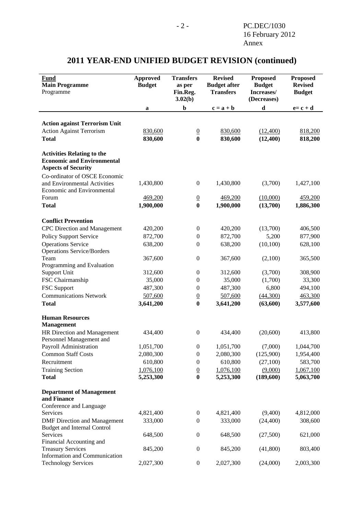#### **Approved Budget Transfers as per Fin.Reg. 3.02(b) Revised Budget after Transfers Proposed Budget Increases/ (Decreases) Proposed Revised Budget Fund Main Programme**  Programme **a b**  $c = a + b$  **d**  $e = c + d$ **Action against Terrorism Unit**  Action Against Terrorism 830,600 0 830,600 (12,400) 818,200 **Total 830,600 0 830,600 (12,400) 818,200 Activities Relating to the Economic and Environmental Aspects of Security**  Co-ordinator of OSCE Economic and Environmental Activities 1,430,800 0 1,430,800 (3,700) 1,427,100 Economic and Environmental Forum 469,200 0 469,200 (10,000) 459,200 **Total 1,900,000 0 1,900,000 (13,700) 1,886,300 Conflict Prevention**  CPC Direction and Management 420,200 0 420,200 (13,700) 406,500 Policy Support Service 872,700 0 872,700 5,200 877,900 Operations Service 638,200 0 638,200 (10,100) 628,100 Operations Service/Borders Team 367,600 0 367,600 (2,100) 365,500 Programming and Evaluation Support Unit 312,600 0 312,600 (3,700) 308,900 FSC Chairmanship 35,000 0 35,000 0 35,000 33,300 FSC Support 487,300 0 487,300 6,800 494,100 Communications Network 507,600 0 507,600 (44,300) 463,300 **Total 3,641,200 0 3,641,200 (63,600) 3,577,600 Human Resources Management**  HR Direction and Management 434,400 0 434,400 (20,600) 413,800 Personnel Management and Payroll Administration 1,051,700 0 1,051,700 (7,000) 1,044,700 Common Staff Costs 2,080,300 0 2,080,300 (125,900) 1,954,400 Recruitment 610,800 0 610,800 (27,100) 583,700 Training Section 1,076,100 0 1,076,100 (9,000) 1,067,100 **Total 5,253,300 0 5,253,300 (189,600) 5,063,700 Department of Management and Finance**  Conference and Language Services 4,821,400 0 4,821,400 (9,400) 4,812,000 DMF Direction and Management 333,000 0 333,000 (24,400) 308,600 Budget and Internal Control Services 648,500 0 648,500 (27,500) 621,000 Financial Accounting and Treasury Services 845,200 0 845,200 (41,800) 803,400 Information and Communication Technology Services 2,027,300 0 2,027,300 (24,000) 2,003,300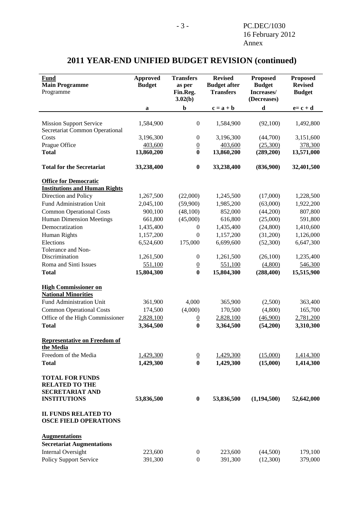#### **Approved Budget Transfers as per Fin.Reg. 3.02(b) Revised Budget after Transfers Proposed Budget Increases/ (Decreases) Proposed Revised Budget Fund Main Programme**  Programme **a b**  $c = a + b$  **d**  $e = c + d$ Mission Support Service 1,584,900 0 1,584,900 (92,100) 1,492,800 Secretariat Common Operational Costs 3,196,300 0 3,196,300 (44,700) 3,151,600 Prague Office  $\begin{array}{cccc} 403,600 & 0 & 403,600 & (25,300) & 378,300 \end{array}$ **Total 13,860,200 0 13,860,200 (289,200) 13,571,000 Total for the Secretariat 33,238,400 0 33,238,400 (836,900) 32,401,500 Office for Democratic Institutions and Human Rights** Direction and Policy 1,267,500 (22,000) 1,245,500 (17,000) 1,228,500 Fund Administration Unit 2,045,100 (59,900) 1,985,200 (63,000) 1,922,200 Common Operational Costs 900,100 (48,100) 852,000 (44,200) 807,800 Human Dimension Meetings 661,800 (45,000) 616,800 (25,000) 591,800 Democratization 1,435,400 0 1,435,400 (24,800) 1,410,600 Human Rights 1,157,200 0 1,157,200 (31,200) 1,126,000 Elections 6,524,600 175,000 6,699,600 (52,300) 6,647,300 Tolerance and Non-Discrimination 1,261,500 0 1,261,500 (26,100) 1,235,400 Roma and Sinti Issues 551,100 0 551,100 (4,800) 546,300 **Total 15,804,300 0 15,804,300 (288,400) 15,515,900 High Commissioner on National Minorities** Fund Administration Unit 361,900 4,000 365,900 (2,500) 363,400 Common Operational Costs 174,500 (4,000) 170,500 (4,800) 165,700 Office of the High Commissioner 2,828,100 0 2,828,100 (46,900) 2,781,200 **Total 3,364,500 0 3,364,500 (54,200) 3,310,300 Representative on Freedom of the Media** Freedom of the Media 1,429,300 0 1,429,300 (15,000) 1,414,300 **Total 1,429,300 0 1,429,300 (15,000) 1,414,300 TOTAL FOR FUNDS RELATED TO THE SECRETARIAT AND INSTITUTIONS 53,836,500 0 53,836,500 (1,194,500) 52,642,000 II. FUNDS RELATED TO OSCE FIELD OPERATIONS Augmentations Secretariat Augmentations**  Internal Oversight 223,600 0 223,600 (44,500) 179,100 Policy Support Service 391,300 0 391,300 (12,300) 379,000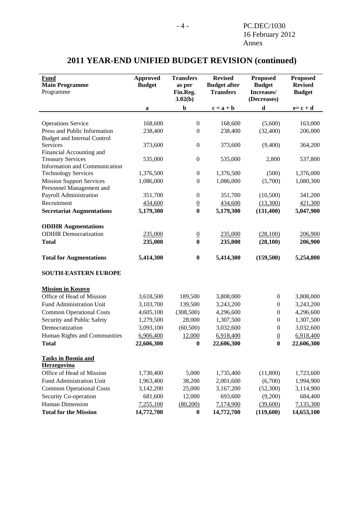| <b>Fund</b><br><b>Main Programme</b><br>Programme         | <b>Approved</b><br><b>Budget</b> | <b>Transfers</b><br>as per<br>Fin.Reg.<br>3.02(b) | <b>Revised</b><br><b>Budget after</b><br><b>Transfers</b> | <b>Proposed</b><br><b>Budget</b><br>Increases/<br>(Decreases) | <b>Proposed</b><br><b>Revised</b><br><b>Budget</b> |
|-----------------------------------------------------------|----------------------------------|---------------------------------------------------|-----------------------------------------------------------|---------------------------------------------------------------|----------------------------------------------------|
|                                                           | a                                | $\mathbf b$                                       | $c = a + b$                                               | $\mathbf d$                                                   | $e = c + d$                                        |
|                                                           |                                  |                                                   |                                                           |                                                               |                                                    |
| <b>Operations Service</b>                                 | 168,600                          | $\boldsymbol{0}$                                  | 168,600                                                   | (5,600)                                                       | 163,000                                            |
| Press and Public Information                              | 238,400                          | $\boldsymbol{0}$                                  | 238,400                                                   | (32,400)                                                      | 206,000                                            |
| <b>Budget and Internal Control</b>                        |                                  |                                                   |                                                           |                                                               |                                                    |
| <b>Services</b>                                           | 373,600                          | $\boldsymbol{0}$                                  | 373,600                                                   | (9,400)                                                       | 364,200                                            |
| Financial Accounting and                                  |                                  |                                                   |                                                           |                                                               |                                                    |
| <b>Treasury Services</b><br>Information and Communication | 535,000                          | $\boldsymbol{0}$                                  | 535,000                                                   | 2,800                                                         | 537,800                                            |
| <b>Technology Services</b>                                | 1,376,500                        | $\boldsymbol{0}$                                  | 1,376,500                                                 | (500)                                                         | 1,376,000                                          |
| <b>Mission Support Services</b>                           | 1,086,000                        | $\boldsymbol{0}$                                  | 1,086,000                                                 | (5,700)                                                       | 1,080,300                                          |
| Personnel Management and                                  |                                  |                                                   |                                                           |                                                               |                                                    |
| Payroll Administration                                    | 351,700                          | $\boldsymbol{0}$                                  | 351,700                                                   | (10,500)                                                      | 341,200                                            |
| Recruitment                                               | 434,600                          | $\overline{0}$                                    | 434,600                                                   | (13,300)                                                      | 421,300                                            |
| <b>Secretariat Augmentations</b>                          | 5,179,300                        | $\bf{0}$                                          | 5,179,300                                                 | (131, 400)                                                    | 5,047,900                                          |
|                                                           |                                  |                                                   |                                                           |                                                               |                                                    |
| <b>ODIHR Augmentations</b>                                |                                  |                                                   |                                                           |                                                               |                                                    |
| <b>ODIHR</b> Democratization                              | 235,000                          | $\overline{0}$                                    | 235,000                                                   | (28,100)                                                      | 206,900                                            |
| <b>Total</b>                                              | 235,000                          | $\bf{0}$                                          | 235,000                                                   | (28, 100)                                                     | 206,900                                            |
|                                                           |                                  |                                                   |                                                           |                                                               |                                                    |
| <b>Total for Augmentations</b>                            | 5,414,300                        | $\boldsymbol{0}$                                  | 5,414,300                                                 | (159,500)                                                     | 5,254,800                                          |
| <b>SOUTH-EASTERN EUROPE</b>                               |                                  |                                                   |                                                           |                                                               |                                                    |
| <b>Mission in Kosovo</b>                                  |                                  |                                                   |                                                           |                                                               |                                                    |
| Office of Head of Mission                                 | 3,618,500                        | 189,500                                           | 3,808,000                                                 | $\boldsymbol{0}$                                              | 3,808,000                                          |
| Fund Administration Unit                                  | 3,103,700                        | 139,500                                           | 3,243,200                                                 | $\boldsymbol{0}$                                              | 3,243,200                                          |
| <b>Common Operational Costs</b>                           | 4,605,100                        | (308, 500)                                        | 4,296,600                                                 | $\boldsymbol{0}$                                              | 4,296,600                                          |
| Security and Public Safety                                | 1,279,500                        | 28,000                                            | 1,307,500                                                 | $\boldsymbol{0}$                                              | 1,307,500                                          |
| Democratization                                           | 3,093,100                        | (60, 500)                                         | 3,032,600                                                 | $\boldsymbol{0}$                                              | 3,032,600                                          |
| Human Rights and Communities                              | 6,906,400                        | 12,000                                            | 6,918,400                                                 | $\overline{0}$                                                | 6,918,400                                          |
| <b>Total</b>                                              | 22,606,300                       | $\bf{0}$                                          | 22,606,300                                                | $\bf{0}$                                                      | 22,606,300                                         |
|                                                           |                                  |                                                   |                                                           |                                                               |                                                    |
| <b>Tasks in Bosnia and</b><br>Herzegovina                 |                                  |                                                   |                                                           |                                                               |                                                    |
| Office of Head of Mission                                 | 1,730,400                        | 5,000                                             | 1,735,400                                                 | (11,800)                                                      | 1,723,600                                          |
| Fund Administration Unit                                  | 1,963,400                        | 38,200                                            | 2,001,600                                                 | (6,700)                                                       | 1,994,900                                          |
| <b>Common Operational Costs</b>                           | 3,142,200                        | 25,000                                            | 3,167,200                                                 | (52,300)                                                      | 3,114,900                                          |
| Security Co-operation                                     | 681,600                          | 12,000                                            | 693,600                                                   | (9,200)                                                       | 684,400                                            |
| Human Dimension                                           | 7,255,100                        | (80,200)                                          | 7,174,900                                                 | (39,600)                                                      | 7,135,300                                          |
| <b>Total for the Mission</b>                              | 14,772,700                       | $\boldsymbol{0}$                                  | 14,772,700                                                | (119,600)                                                     | 14,653,100                                         |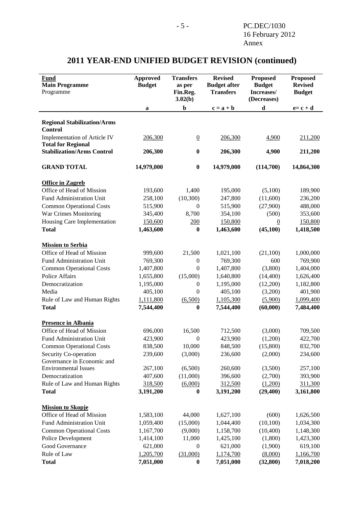#### **Approved Budget Transfers as per Fin.Reg. 3.02(b) Revised Budget after Transfers Proposed Budget Increases/ (Decreases) Proposed Revised Budget Fund Main Programme**  Programme **a b**  $c = a + b$  **d**  $e = c + d$ **Regional Stabilization/Arms Control**  Implementation of Article IV 206,300 0 206,300 4,900 211,200 **Total for Regional Stabilization/Arms Control 206,300 0 206,300 4,900 211,200 GRAND TOTAL 14,979,000 0 14,979,000 (114,700) 14,864,300 Office in Zagreb** Office of Head of Mission 193,600 1,400 195,000 (5,100) 189,900 Fund Administration Unit 258,100 (10,300) 247,800 (11,600) 236,200 Common Operational Costs 515,900 0 515,900 (27,900) 488,000 War Crimes Monitoring 345,400 8,700 354,100 (500) 353,600 Housing Care Implementation 150,600 200 150,800 0 150,800 **Total 1,463,600 0 1,463,600 (45,100) 1,418,500 Mission to Serbia** Office of Head of Mission 999,600 21,500 1,021,100 (21,100) 1,000,000 Fund Administration Unit 769,300 0 769,300 600 769,900 Common Operational Costs 1,407,800 0 1,407,800 (3,800) 1,404,000 Police Affairs 1,655,800 (15,000) 1,640,800 (14,400) 1,626,400 Democratization 1,195,000 0 1,195,000 1,195,000 1,182,800 Media 101,900 105,100 0 405,100 13,200 401,900 Rule of Law and Human Rights 1,111,800 (6,500) 1,105,300 (5,900) 1,099,400 **Total 7,544,400 0 7,544,400 (60,000) 7,484,400 Presence in Albania** Office of Head of Mission 696,000 16,500 712,500 (3,000) 709,500 Fund Administration Unit  $423,900$  0  $423,900$   $423,900$   $422,700$ Common Operational Costs 838,500 10,000 848,500 (15,800) 832,700 Security Co-operation 239,600 (3,000) 236,600 (2,000) 234,600 Governance in Economic and Environmental Issues 267,100 (6,500) 260,600 (3,500) 257,100 Democratization 407,600 (11,000) 396,600 (2,700) 393,900 Rule of Law and Human Rights 318,500 (6,000) 312,500 (1,200) 311,300 **Total 3,191,200 0 3,191,200 (29,400) 3,161,800 Mission to Skopje** Office of Head of Mission 1,583,100 44,000 1,627,100 (600) 1,626,500 Fund Administration Unit 1,059,400 (15,000) 1,044,400 (10,100) 1,034,300 Common Operational Costs 1,167,700 (9,000) 1,158,700 (10,400) 1,148,300 Police Development 1,414,100 11,000 1,425,100 (1,800) 1,423,300 Good Governance  $621,000$   $0$   $621,000$   $(1,900)$   $619,100$ Rule of Law  $\frac{1,205,700}{31,000}$   $\frac{(31,000)}{1,174,700}$   $\frac{(8,000)}{1,166,700}$

**Total 7,051,000 0 7,051,000 (32,800) 7,018,200**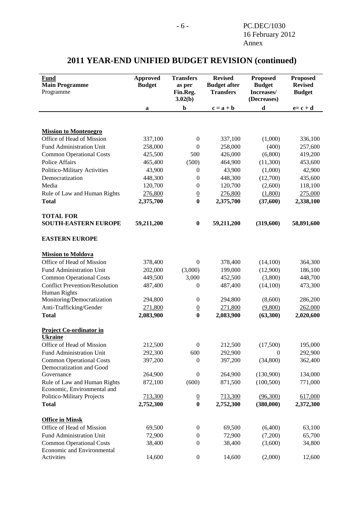#### **Approved Budget Transfers as per Fin.Reg. 3.02(b) Revised Budget after Transfers Proposed Budget Increases/ (Decreases) Proposed Revised Budget Fund Main Programme**  Programme **a b**  $c = a + b$  **d**  $e = c + d$ **Mission to Montenegro** Office of Head of Mission 337,100 0 337,100 (1,000) 336,100 Fund Administration Unit 258,000 0 258,000 (400) 257,600 Common Operational Costs 425,500 500 426,000 (6,800) 419,200 Police Affairs **465,400** (500) 464,900 (11,300) 453,600 Politico-Military Activities 43,900 0 43,900 (1,000) 42,900 Democratization 448,300 0 448,300 (12,700) 435,600 Media 120,700 0 120,700 (2,600) 118,100 Rule of Law and Human Rights 276,800 0 276,800 (1,800) 275,000 **Total 2,375,700 0 2,375,700 (37,600) 2,338,100 TOTAL FOR SOUTH-EASTERN EUROPE** 59,211,200 0 59,211,200 (319,600) 58,891,600 **EASTERN EUROPE Mission to Moldova** Office of Head of Mission 378,400 0 378,400 (14,100) 364,300 Fund Administration Unit 202,000 (3,000) 199,000 (12,900) 186,100 Common Operational Costs 449,500 3,000 452,500 (3,800) 448,700 Conflict Prevention/Resolution 487,400 0 487,400 (14,100) 473,300 Human Rights Monitoring/Democratization 294,800 0 294,800 (8,600) 286,200 Anti-Trafficking/Gender 271,800 0 271,800 (9,800) 262,000 **Total 2,083,900 0 2,083,900 (63,300) 2,020,600 Project Co-ordinator in Ukraine** Office of Head of Mission 212,500 0 212,500 (17,500) 195,000 Fund Administration Unit 292,300 600 292,900 0 292,900 Common Operational Costs 397,200 0 397,200 (34,800) 362,400 Democratization and Good Governance 264,900 0 264,900 134,000 134,000 Rule of Law and Human Rights 872,100 (600) 871,500 (100,500) 771,000 Economic, Environmental and Politico-Military Projects 713,300 0 713,300 (96,300) 617,000 **Total 2,752,300 0 2,752,300 (380,000) 2,372,300 Office in Minsk** Office of Head of Mission 69,500 0 69,500 (6,400) 63,100 Fund Administration Unit  $72,900$  0  $72,900$   $(7,200)$  65,700 Common Operational Costs 38,400 0 38,400 (3,600) 34,800 Economic and Environmental Activities 14,600 0 14,600 (2,000) 12,600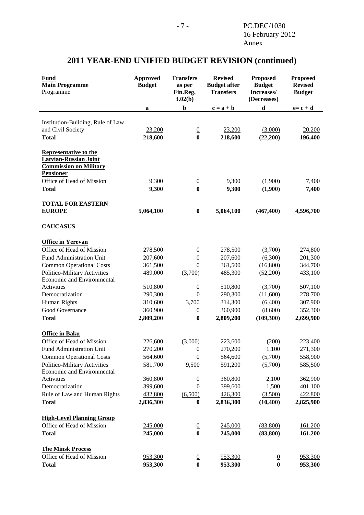#### **Approved Budget Transfers as per Fin.Reg. 3.02(b) Revised Budget after Transfers Proposed Budget Increases/ (Decreases) Proposed Revised Budget Fund Main Programme**  Programme **a b**  $c = a + b$  **d**  $e = c + d$ Institution-Building, Rule of Law and Civil Society 23,200 0 23,200 (3,000) 20,200 **Total 218,600 0 218,600 (22,200) 196,400 Representative to the Latvian-Russian Joint Commission on Military Pensioner** Office of Head of Mission  $9,300$   $0$   $9,300$   $(1,900)$   $7,400$ **Total 9,300 0 9,300 (1,900) 7,400 TOTAL FOR EASTERN EUROPE** 5,064,100 0 5,064,100 (467,400) 4,596,700 **CAUCASUS Office in Yerevan** Office of Head of Mission 278,500 0 278,500 (3,700) 274,800 Fund Administration Unit 207,600 0 207,600 (6,300) 201,300 Common Operational Costs 361,500 0 361,500 (16,800) 344,700 Politico-Military Activities 489,000 (3,700) 485,300 (52,200) 433,100 Economic and Environmental Activities 510,800 0 510,800 (3,700) 507,100 Democratization 290,300 0 290,300 (11,600) 278,700 Human Rights 310,600 3,700 314,300 (6,400) 307,900 Good Governance  $\frac{360,900}{0}$  0  $\frac{360,900}{0}$   $\frac{(8,600)}{352,300}$  352,300 **Total 2,809,200 0 2,809,200 (109,300) 2,699,900 Office in Baku** Office of Head of Mission 226,600 (3,000) 223,600 (200) 223,400 Fund Administration Unit 270,200 0 270,200 1,100 271,300 Common Operational Costs 564,600 0 564,600 (5,700) 558,900 Politico-Military Activities 581,700 9,500 591,200 (5,700) 585,500 Economic and Environmental Activities 360,800 0 360,800 2,100 362,900 Democratization 399,600 0 399,600 1,500 401,100 Rule of Law and Human Rights 432,800 (6,500) 426,300 (3,500) 422,800 **Total 2,836,300 0 2,836,300 (10,400) 2,825,900 High-Level Planning Group** Office of Head of Mission 245,000 0 245,000 (83,800) 161,200 **Total 245,000 0 245,000 (83,800) 161,200 The Minsk Process** Office of Head of Mission 953,300 0 953,300 0 953,300 953,300 **Total 953,300 0 953,300 0 953,300**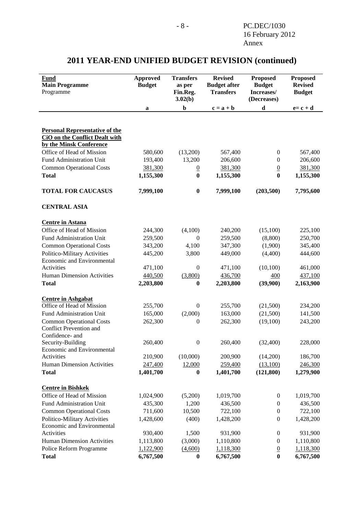| <b>Fund</b><br><b>Main Programme</b><br>Programme                                                         | <b>Approved</b><br><b>Budget</b> | <b>Transfers</b><br>as per<br>Fin.Reg.<br>3.02(b) | <b>Revised</b><br><b>Budget after</b><br><b>Transfers</b> | <b>Proposed</b><br><b>Budget</b><br>Increases/<br>(Decreases) | <b>Proposed</b><br><b>Revised</b><br><b>Budget</b> |
|-----------------------------------------------------------------------------------------------------------|----------------------------------|---------------------------------------------------|-----------------------------------------------------------|---------------------------------------------------------------|----------------------------------------------------|
|                                                                                                           | a                                | $\mathbf b$                                       | $c = a + b$                                               | $\mathbf d$                                                   | $e = c + d$                                        |
| <b>Personal Representative of the</b><br><b>CiO</b> on the Conflict Dealt with<br>by the Minsk Conference |                                  |                                                   |                                                           |                                                               |                                                    |
| Office of Head of Mission                                                                                 | 580,600                          | (13,200)                                          | 567,400                                                   | $\boldsymbol{0}$                                              | 567,400                                            |
| Fund Administration Unit                                                                                  | 193,400                          | 13,200                                            | 206,600                                                   | $\mathbf{0}$                                                  | 206,600                                            |
| <b>Common Operational Costs</b>                                                                           | 381,300                          | $\overline{0}$                                    | 381,300                                                   | $\overline{0}$                                                | 381,300                                            |
| <b>Total</b>                                                                                              | 1,155,300                        | $\bf{0}$                                          | 1,155,300                                                 | $\bf{0}$                                                      | 1,155,300                                          |
| <b>TOTAL FOR CAUCASUS</b>                                                                                 | 7,999,100                        | $\bf{0}$                                          | 7,999,100                                                 | (203, 500)                                                    | 7,795,600                                          |
| <b>CENTRAL ASIA</b>                                                                                       |                                  |                                                   |                                                           |                                                               |                                                    |
| <b>Centre in Astana</b>                                                                                   |                                  |                                                   |                                                           |                                                               |                                                    |
| Office of Head of Mission                                                                                 | 244,300                          | (4,100)                                           | 240,200                                                   | (15,100)                                                      | 225,100                                            |
| Fund Administration Unit                                                                                  | 259,500                          | $\overline{0}$                                    | 259,500                                                   | (8,800)                                                       | 250,700                                            |
| <b>Common Operational Costs</b>                                                                           | 343,200                          | 4,100                                             | 347,300                                                   | (1,900)                                                       | 345,400                                            |
| Politico-Military Activities                                                                              | 445,200                          | 3,800                                             | 449,000                                                   | (4,400)                                                       | 444,600                                            |
| Economic and Environmental                                                                                |                                  |                                                   |                                                           |                                                               |                                                    |
| Activities                                                                                                | 471,100                          | $\boldsymbol{0}$                                  | 471,100                                                   | (10, 100)                                                     | 461,000                                            |
| Human Dimension Activities                                                                                | 440,500                          | (3,800)                                           | 436,700                                                   | 400                                                           | 437,100                                            |
| <b>Total</b>                                                                                              | 2,203,800                        | $\boldsymbol{0}$                                  | 2,203,800                                                 | (39,900)                                                      | 2,163,900                                          |
| <b>Centre in Ashgabat</b>                                                                                 |                                  |                                                   |                                                           |                                                               |                                                    |
| Office of Head of Mission                                                                                 | 255,700                          | $\boldsymbol{0}$                                  | 255,700                                                   | (21,500)                                                      | 234,200                                            |
| Fund Administration Unit                                                                                  | 165,000                          | (2,000)                                           | 163,000                                                   | (21,500)                                                      | 141,500                                            |
| <b>Common Operational Costs</b>                                                                           | 262,300                          | $\theta$                                          | 262,300                                                   | (19,100)                                                      | 243,200                                            |
| <b>Conflict Prevention and</b><br>Confidence- and                                                         |                                  |                                                   |                                                           |                                                               |                                                    |
| Security-Building                                                                                         | 260,400                          | $\boldsymbol{0}$                                  | 260,400                                                   | (32,400)                                                      | 228,000                                            |
| Economic and Environmental<br>Activities                                                                  | 210,900                          | (10,000)                                          | 200,900                                                   | (14,200)                                                      | 186,700                                            |
| <b>Human Dimension Activities</b>                                                                         | 247,400                          | 12,000                                            | 259,400                                                   | (13,100)                                                      | 246,300                                            |
| <b>Total</b>                                                                                              | 1,401,700                        | $\boldsymbol{0}$                                  | 1,401,700                                                 | (121, 800)                                                    | 1,279,900                                          |
|                                                                                                           |                                  |                                                   |                                                           |                                                               |                                                    |
| <b>Centre in Bishkek</b>                                                                                  |                                  |                                                   |                                                           |                                                               |                                                    |
| Office of Head of Mission                                                                                 | 1,024,900                        | (5,200)                                           | 1,019,700                                                 | $\boldsymbol{0}$                                              | 1,019,700                                          |
| Fund Administration Unit                                                                                  | 435,300                          | 1,200                                             | 436,500                                                   | $\boldsymbol{0}$                                              | 436,500                                            |
| <b>Common Operational Costs</b>                                                                           | 711,600                          | 10,500                                            | 722,100                                                   | $\overline{0}$                                                | 722,100                                            |
| Politico-Military Activities                                                                              | 1,428,600                        | (400)                                             | 1,428,200                                                 | $\boldsymbol{0}$                                              | 1,428,200                                          |
| Economic and Environmental                                                                                |                                  |                                                   |                                                           |                                                               |                                                    |
| Activities                                                                                                | 930,400                          | 1,500                                             | 931,900                                                   | $\boldsymbol{0}$                                              | 931,900                                            |
| <b>Human Dimension Activities</b>                                                                         | 1,113,800                        | (3,000)                                           | 1,110,800                                                 | $\boldsymbol{0}$                                              | 1,110,800                                          |
| Police Reform Programme<br><b>Total</b>                                                                   | 1,122,900                        | (4,600)                                           | 1,118,300                                                 | $\overline{0}$<br>$\bf{0}$                                    | 1,118,300                                          |
|                                                                                                           | 6,767,500                        | $\boldsymbol{0}$                                  | 6,767,500                                                 |                                                               | 6,767,500                                          |